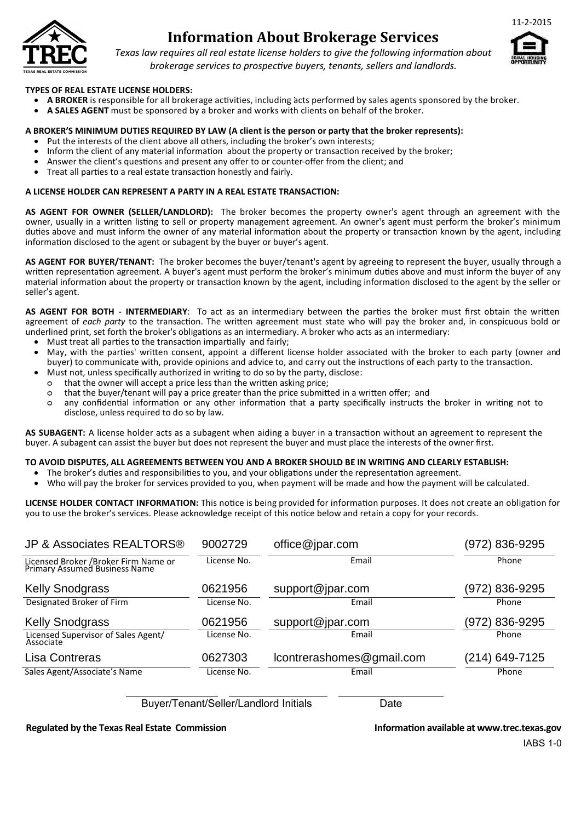

# **Information About Brokerage Services**



*Texas law requires all real estate license holders to give the following information about brokerage services to prospective buyers, tenants, sellers and landlords.*

#### **TYPES OF REAL ESTATE LICENSE HOLDERS:**

- **A BROKER** is responsible for all brokerage activities, including acts performed by sales agents sponsored by the broker.
- **A SALES AGENT** must be sponsored by a broker and works with clients on behalf of the broker.

#### **A BROKER'S MINIMUM DUTIES REQUIRED BY LAW (A client is the person or party that the broker represents):**

- Put the interests of the client above all others, including the broker's own interests;
- Inform the client of any material information about the property or transaction received by the broker;
- Answer the client's questions and present any offer to or counter-offer from the client; and
- Treat all parties to a real estate transaction honestly and fairly.

#### **A LICENSE HOLDER CAN REPRESENT A PARTY IN A REAL ESTATE TRANSACTION:**

**AS AGENT FOR OWNER (SELLER/LANDLORD):** The broker becomes the property owner's agent through an agreement with the owner, usually in a written listing to sell or property management agreement. An owner's agent must perform the broker's minimum duties above and must inform the owner of any material information about the property or transaction known by the agent, including information disclosed to the agent or subagent by the buyer or buyer's agent.

**AS AGENT FOR BUYER/TENANT:** The broker becomes the buyer/tenant's agent by agreeing to represent the buyer, usually through a written representation agreement. A buyer's agent must perform the broker's minimum duties above and must inform the buyer of any material information about the property or transaction known by the agent, including information disclosed to the agent by the seller or seller's agent.

**AS AGENT FOR BOTH - INTERMEDIARY**: To act as an intermediary between the parties the broker must first obtain the written agreement of *each party* to the transaction. The written agreement must state who will pay the broker and, in conspicuous bold or underlined print, set forth the broker's obligations as an intermediary. A broker who acts as an intermediary:

- Must treat all parties to the transaction impartially and fairly;
- May, with the parties' written consent, appoint a different license holder associated with the broker to each party (owner and buyer) to communicate with, provide opinions and advice to, and carry out the instructions of each party to the transaction.
- Must not, unless specifically authorized in writing to do so by the party, disclose:
- ᴑ that the owner will accept a price less than the written asking price;
- ᴑ that the buyer/tenant will pay a price greater than the price submitted in a written offer; and
- ᴑ any confidential information or any other information that a party specifically instructs the broker in writing not to disclose, unless required to do so by law.

**AS SUBAGENT:** A license holder acts as a subagent when aiding a buyer in a transaction without an agreement to represent the buyer. A subagent can assist the buyer but does not represent the buyer and must place the interests of the owner first.

#### **TO AVOID DISPUTES, ALL AGREEMENTS BETWEEN YOU AND A BROKER SHOULD BE IN WRITING AND CLEARLY ESTABLISH:**

- The broker's duties and responsibilities to you, and your obligations under the representation agreement.
- Who will pay the broker for services provided to you, when payment will be made and how the payment will be calculated.

**LICENSE HOLDER CONTACT INFORMATION:** This notice is being provided for information purposes. It does not create an obligation for you to use the broker's services. Please acknowledge receipt of this notice below and retain a copy for your records.

| 9002729     | office@jpar.com           | (972) 836-9295 |
|-------------|---------------------------|----------------|
| License No. | Email                     | Phone          |
| 0621956     | support@jpar.com          | (972) 836-9295 |
| License No. | Email                     | Phone          |
| 0621956     | support@jpar.com          | (972) 836-9295 |
| License No. | Email                     | Phone          |
| 0627303     | lcontrerashomes@gmail.com | (214) 649-7125 |
| License No. | Email                     | Phone          |
|             |                           |                |

Buyer/Tenant/Seller/Landlord Initials Date

#### **Regulated by the Texas Real Estate Commission Information available at www.trec.texas.gov**